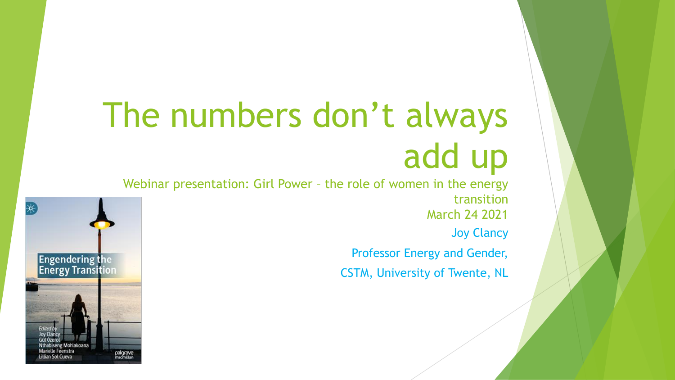# The numbers don't always add up

Webinar presentation: Girl Power – the role of women in the energy transition March 24 2021 Joy Clancy Professor Energy and Gender,

CSTM, University of Twente, NL

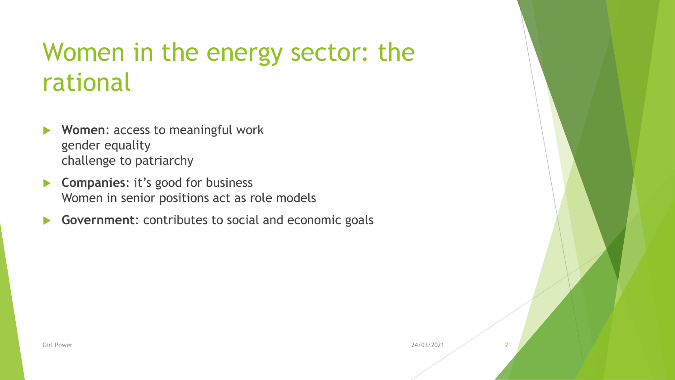#### Women in the energy sector: the rational

- **Women**: access to meaningful work gender equality challenge to patriarchy
- **Companies**: it's good for business Women in senior positions act as role models
- **Government**: contributes to social and economic goals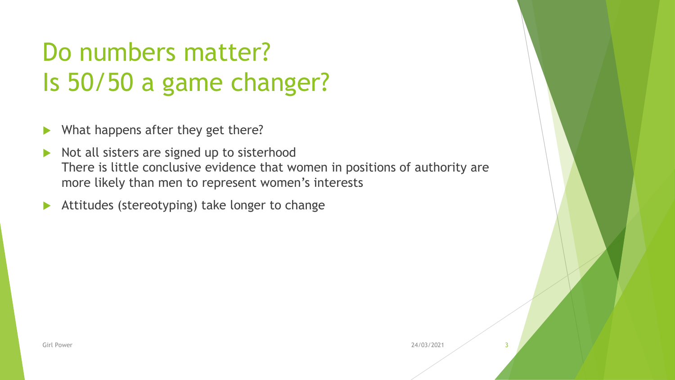# Do numbers matter? Is 50/50 a game changer?

- What happens after they get there?
- Not all sisters are signed up to sisterhood There is little conclusive evidence that women in positions of authority are more likely than men to represent women's interests
- Attitudes (stereotyping) take longer to change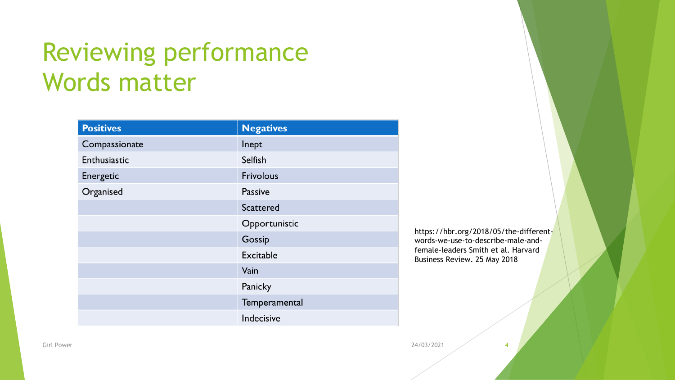#### Reviewing performance Words matter

| <b>Positives</b> | <b>Negatives</b> |
|------------------|------------------|
| Compassionate    | Inept            |
| Enthusiastic     | Selfish          |
| Energetic        | <b>Frivolous</b> |
| Organised        | <b>Passive</b>   |
|                  | Scattered        |
|                  | Opportunistic    |
|                  | Gossip           |
|                  | <b>Excitable</b> |
|                  | Vain             |
|                  | Panicky          |
|                  | Temperamental    |
|                  | Indecisive       |

https://hbr.org/2018/05/the-differentwords-we-use-to-describe-male-andfemale-leaders Smith et al. Harvard Business Review. 25 May 2018

Girl Power 24/03/2021 4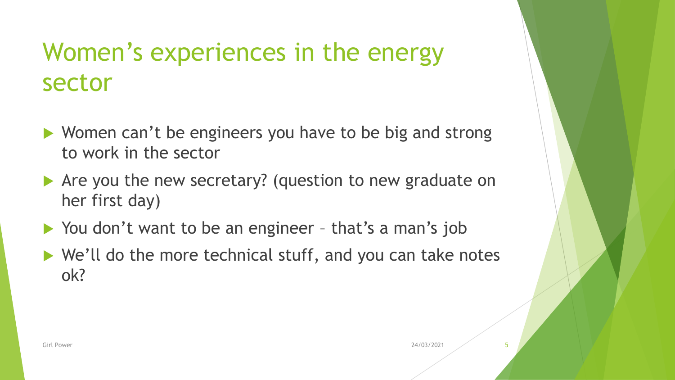#### Women's experiences in the energy sector

- ▶ Women can't be engineers you have to be big and strong to work in the sector
- ▶ Are you the new secretary? (question to new graduate on her first day)
- ▶ You don't want to be an engineer that's a man's job
- ▶ We'll do the more technical stuff, and you can take notes ok?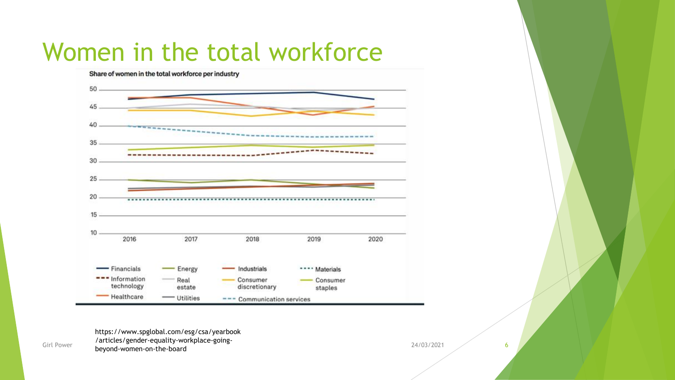#### Women in the total workforce



Girl Power Carticles, Senacr Equality Womplace Soms<br>
beyond-women-on-the-board 6 https://www.spglobal.com/esg/csa/yearbook /articles/gender-equality-workplace-going-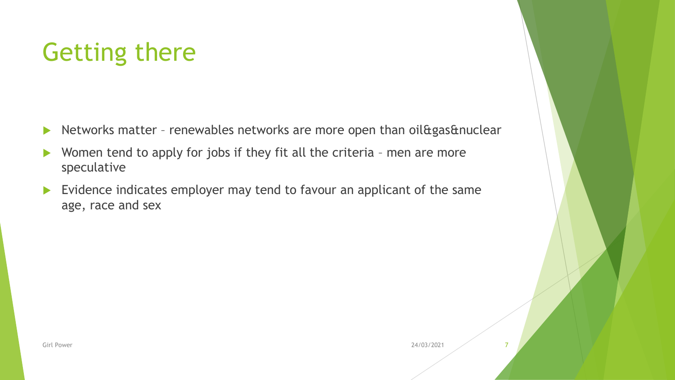### Getting there

- Networks matter renewables networks are more open than oil &  $g$ as & nuclear
- ▶ Women tend to apply for jobs if they fit all the criteria men are more speculative
- Evidence indicates employer may tend to favour an applicant of the same age, race and sex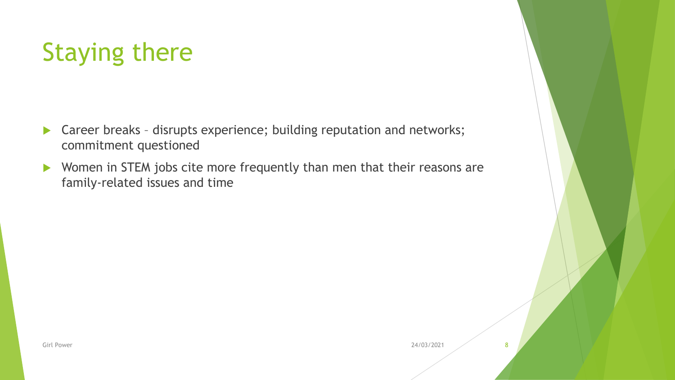#### Staying there

- ▶ Career breaks disrupts experience; building reputation and networks; commitment questioned
- ▶ Women in STEM jobs cite more frequently than men that their reasons are family-related issues and time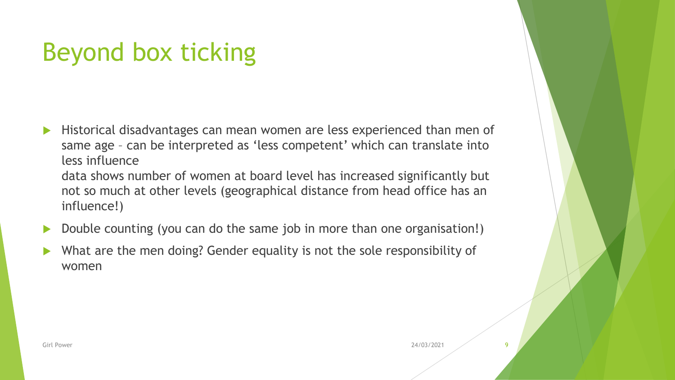# Beyond box ticking

- Historical disadvantages can mean women are less experienced than men of same age – can be interpreted as 'less competent' which can translate into less influence
	- data shows number of women at board level has increased significantly but not so much at other levels (geographical distance from head office has an influence!)
- Double counting (you can do the same job in more than one organisation!)
- What are the men doing? Gender equality is not the sole responsibility of women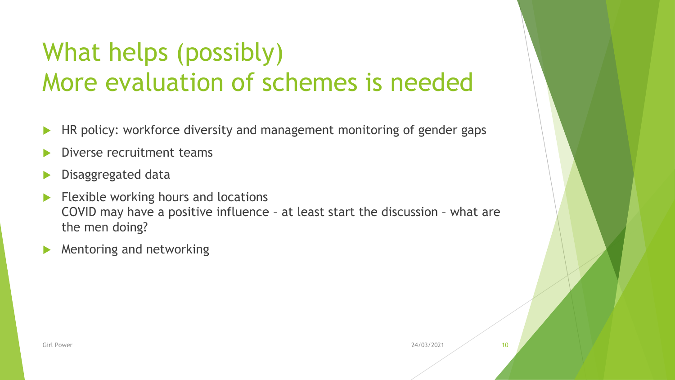# What helps (possibly) More evaluation of schemes is needed

- HR policy: workforce diversity and management monitoring of gender gaps
- Diverse recruitment teams
- Disaggregated data
- $\blacktriangleright$  Flexible working hours and locations COVID may have a positive influence – at least start the discussion – what are the men doing?
- Mentoring and networking